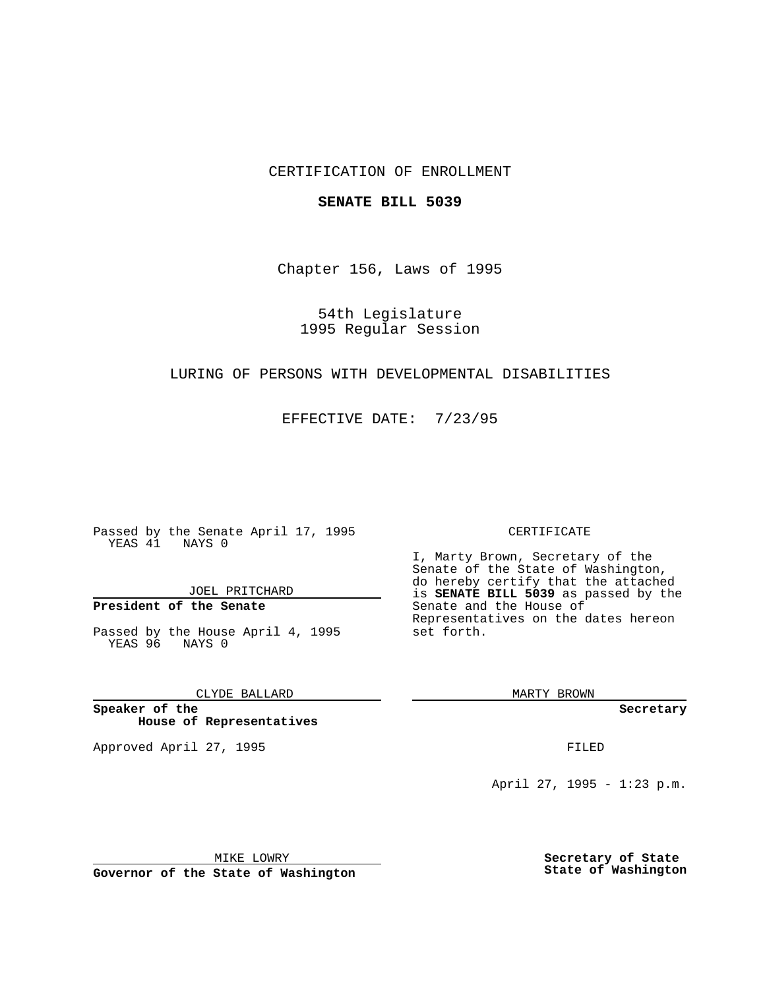## CERTIFICATION OF ENROLLMENT

#### **SENATE BILL 5039**

Chapter 156, Laws of 1995

54th Legislature 1995 Regular Session

### LURING OF PERSONS WITH DEVELOPMENTAL DISABILITIES

EFFECTIVE DATE: 7/23/95

Passed by the Senate April 17, 1995 YEAS 41 NAYS 0

JOEL PRITCHARD

# **President of the Senate**

Passed by the House April 4, 1995 YEAS 96 NAYS 0

CLYDE BALLARD

**Speaker of the House of Representatives**

Approved April 27, 1995 FILED

#### CERTIFICATE

I, Marty Brown, Secretary of the Senate of the State of Washington, do hereby certify that the attached is **SENATE BILL 5039** as passed by the Senate and the House of Representatives on the dates hereon set forth.

MARTY BROWN

**Secretary**

April 27, 1995 - 1:23 p.m.

MIKE LOWRY **Governor of the State of Washington** **Secretary of State State of Washington**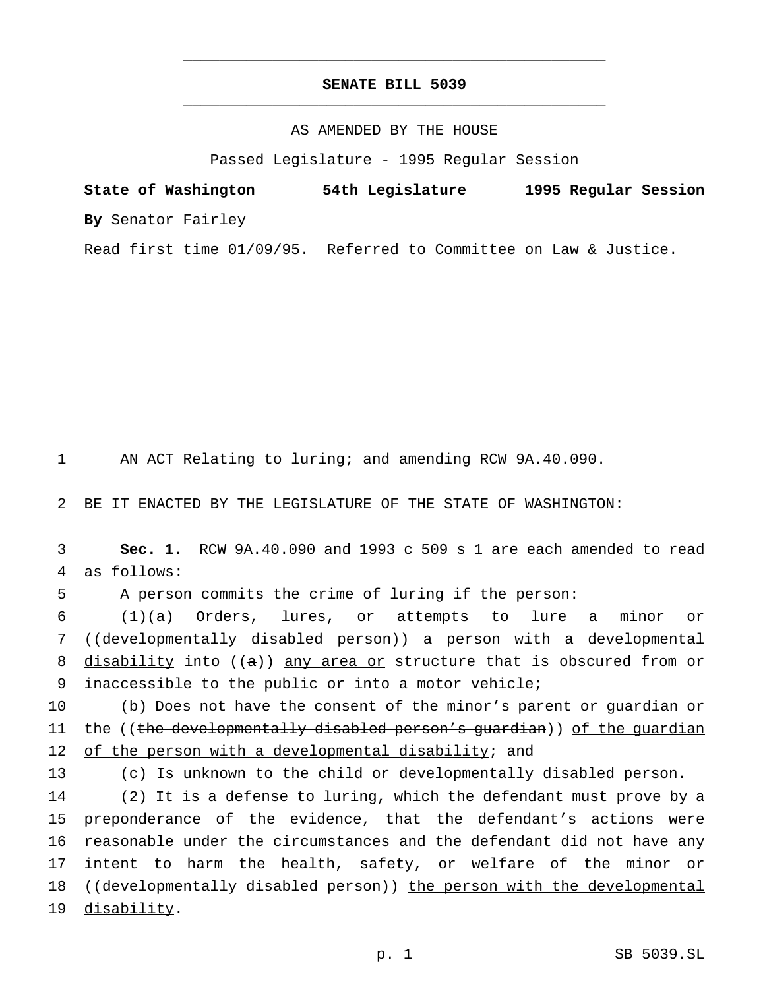# **SENATE BILL 5039** \_\_\_\_\_\_\_\_\_\_\_\_\_\_\_\_\_\_\_\_\_\_\_\_\_\_\_\_\_\_\_\_\_\_\_\_\_\_\_\_\_\_\_\_\_\_\_

\_\_\_\_\_\_\_\_\_\_\_\_\_\_\_\_\_\_\_\_\_\_\_\_\_\_\_\_\_\_\_\_\_\_\_\_\_\_\_\_\_\_\_\_\_\_\_

## AS AMENDED BY THE HOUSE

Passed Legislature - 1995 Regular Session

**State of Washington 54th Legislature 1995 Regular Session By** Senator Fairley

Read first time 01/09/95. Referred to Committee on Law & Justice.

1 AN ACT Relating to luring; and amending RCW 9A.40.090.

2 BE IT ENACTED BY THE LEGISLATURE OF THE STATE OF WASHINGTON:

3 **Sec. 1.** RCW 9A.40.090 and 1993 c 509 s 1 are each amended to read 4 as follows:

5 A person commits the crime of luring if the person:

 (1)(a) Orders, lures, or attempts to lure a minor or ((developmentally disabled person)) a person with a developmental 8 disability into  $((a))$  any area or structure that is obscured from or inaccessible to the public or into a motor vehicle;

10 (b) Does not have the consent of the minor's parent or guardian or 11 the ((the developmentally disabled person's quardian)) of the quardian 12 of the person with a developmental disability; and

13 (c) Is unknown to the child or developmentally disabled person.

 (2) It is a defense to luring, which the defendant must prove by a preponderance of the evidence, that the defendant's actions were reasonable under the circumstances and the defendant did not have any intent to harm the health, safety, or welfare of the minor or 18 ((developmentally disabled person)) the person with the developmental disability.